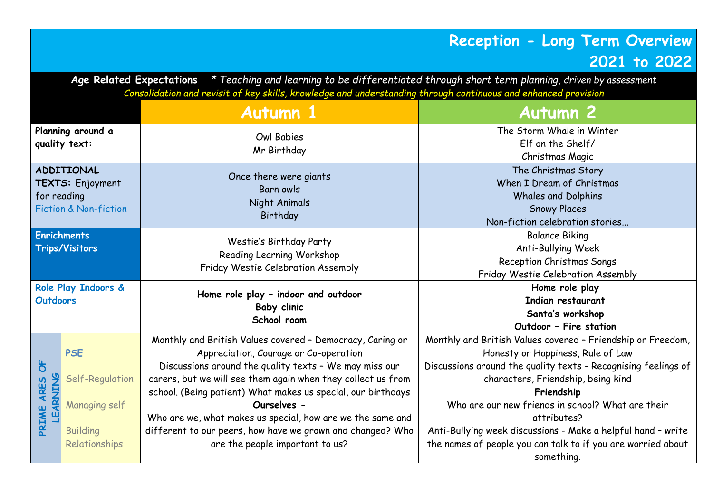## **Reception - Long Term Overview 2021 to 2022**

**Age Related Expectations** *\* Teaching and learning to be differentiated through short term planning, driven by assessment Consolidation and revisit of key skills, knowledge and understanding through continuous and enhanced provision*

| <b>Autumn 1</b>                                                                          |                                                                                    |                                                                                                                                                                                                                                                                                                                                                                                                                                                                            | <b>Autumn 2</b>                                                                                                                                                                                                                                                                                                                                                                                                                          |
|------------------------------------------------------------------------------------------|------------------------------------------------------------------------------------|----------------------------------------------------------------------------------------------------------------------------------------------------------------------------------------------------------------------------------------------------------------------------------------------------------------------------------------------------------------------------------------------------------------------------------------------------------------------------|------------------------------------------------------------------------------------------------------------------------------------------------------------------------------------------------------------------------------------------------------------------------------------------------------------------------------------------------------------------------------------------------------------------------------------------|
| Planning around a<br>quality text:                                                       |                                                                                    | <b>Owl Babies</b><br>Mr Birthday                                                                                                                                                                                                                                                                                                                                                                                                                                           | The Storm Whale in Winter<br>Elf on the Shelf/<br>Christmas Magic                                                                                                                                                                                                                                                                                                                                                                        |
| <b>ADDITIONAL</b><br>TEXTS: Enjoyment<br>for reading<br><b>Fiction &amp; Non-fiction</b> |                                                                                    | Once there were giants<br>Barn owls<br>Night Animals<br>Birthday                                                                                                                                                                                                                                                                                                                                                                                                           | The Christmas Story<br>When I Dream of Christmas<br><b>Whales and Dolphins</b><br><b>Snowy Places</b><br>Non-fiction celebration stories                                                                                                                                                                                                                                                                                                 |
| <b>Enrichments</b><br><b>Trips/Visitors</b>                                              |                                                                                    | Westie's Birthday Party<br>Reading Learning Workshop<br>Friday Westie Celebration Assembly                                                                                                                                                                                                                                                                                                                                                                                 | <b>Balance Biking</b><br>Anti-Bullying Week<br>Reception Christmas Songs<br>Friday Westie Celebration Assembly                                                                                                                                                                                                                                                                                                                           |
| Role Play Indoors &<br><b>Outdoors</b>                                                   |                                                                                    | Home role play - indoor and outdoor<br><b>Baby clinic</b><br>School room                                                                                                                                                                                                                                                                                                                                                                                                   | Home role play<br>Indian restaurant<br>Santa's workshop<br>Outdoor - Fire station                                                                                                                                                                                                                                                                                                                                                        |
| $\sigma$<br><b>LEARNING</b><br><b>ARES</b><br>PRIME                                      | <b>PSE</b><br>Self-Regulation<br>Managing self<br><b>Building</b><br>Relationships | Monthly and British Values covered - Democracy, Caring or<br>Appreciation, Courage or Co-operation<br>Discussions around the quality texts - We may miss our<br>carers, but we will see them again when they collect us from<br>school. (Being patient) What makes us special, our birthdays<br>Ourselves -<br>Who are we, what makes us special, how are we the same and<br>different to our peers, how have we grown and changed? Who<br>are the people important to us? | Monthly and British Values covered - Friendship or Freedom,<br>Honesty or Happiness, Rule of Law<br>Discussions around the quality texts - Recognising feelings of<br>characters, Friendship, being kind<br>Friendship<br>Who are our new friends in school? What are their<br>attributes?<br>Anti-Bullying week discussions - Make a helpful hand - write<br>the names of people you can talk to if you are worried about<br>something. |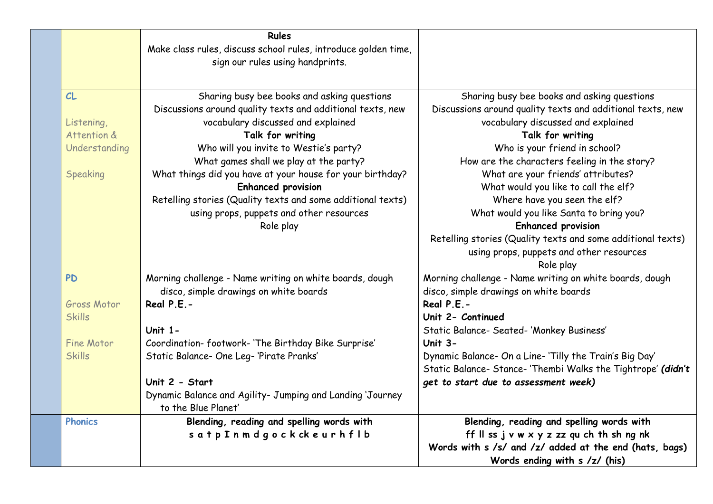|                                                                          | <b>Rules</b><br>Make class rules, discuss school rules, introduce golden time,<br>sign our rules using handprints.                                                                                                                                                                                                                                                                                                                                                        |                                                                                                                                                                                                                                                                                                                                                                                                                                                                                                                                                       |
|--------------------------------------------------------------------------|---------------------------------------------------------------------------------------------------------------------------------------------------------------------------------------------------------------------------------------------------------------------------------------------------------------------------------------------------------------------------------------------------------------------------------------------------------------------------|-------------------------------------------------------------------------------------------------------------------------------------------------------------------------------------------------------------------------------------------------------------------------------------------------------------------------------------------------------------------------------------------------------------------------------------------------------------------------------------------------------------------------------------------------------|
| CL<br>Listening,<br>Attention &<br>Understanding<br><b>Speaking</b>      | Sharing busy bee books and asking questions<br>Discussions around quality texts and additional texts, new<br>vocabulary discussed and explained<br>Talk for writing<br>Who will you invite to Westie's party?<br>What games shall we play at the party?<br>What things did you have at your house for your birthday?<br><b>Enhanced provision</b><br>Retelling stories (Quality texts and some additional texts)<br>using props, puppets and other resources<br>Role play | Sharing busy bee books and asking questions<br>Discussions around quality texts and additional texts, new<br>vocabulary discussed and explained<br>Talk for writing<br>Who is your friend in school?<br>How are the characters feeling in the story?<br>What are your friends' attributes?<br>What would you like to call the elf?<br>Where have you seen the elf?<br>What would you like Santa to bring you?<br><b>Enhanced provision</b><br>Retelling stories (Quality texts and some additional texts)<br>using props, puppets and other resources |
| <b>PD</b><br>Gross Motor<br><b>Skills</b><br>Fine Motor<br><b>Skills</b> | Morning challenge - Name writing on white boards, dough<br>disco, simple drawings on white boards<br>Real $P.E.-$<br>Unit $1 -$<br>Coordination-footwork-'The Birthday Bike Surprise'<br>Static Balance- One Leg-'Pirate Pranks'<br>Unit 2 - Start<br>Dynamic Balance and Agility- Jumping and Landing 'Journey<br>to the Blue Planet'                                                                                                                                    | Role play<br>Morning challenge - Name writing on white boards, dough<br>disco, simple drawings on white boards<br>Real P.E.-<br>Unit 2- Continued<br>Static Balance- Seated- 'Monkey Business'<br>Unit $3-$<br>Dynamic Balance- On a Line-'Tilly the Train's Big Day'<br>Static Balance- Stance- 'Thembi Walks the Tightrope' (didn't<br>get to start due to assessment week)                                                                                                                                                                         |
| <b>Phonics</b>                                                           | Blending, reading and spelling words with<br>satp Inmdgockckeurhflb                                                                                                                                                                                                                                                                                                                                                                                                       | Blending, reading and spelling words with<br>ff II ss $j \vee w \times y$ z zz qu ch th sh ng nk<br>Words with s /s/ and /z/ added at the end (hats, bags)<br>Words ending with s /z/ (his)                                                                                                                                                                                                                                                                                                                                                           |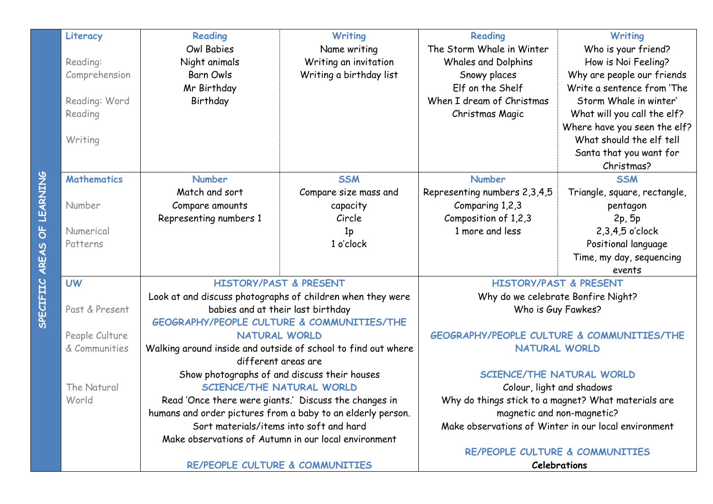|                 | Literacy                        | Reading                | Writing                                                       | Reading                                               | <b>Writing</b>               |
|-----------------|---------------------------------|------------------------|---------------------------------------------------------------|-------------------------------------------------------|------------------------------|
|                 |                                 | Owl Babies             | Name writing                                                  | The Storm Whale in Winter                             | Who is your friend?          |
|                 | Reading:                        | Night animals          | Writing an invitation                                         | <b>Whales and Dolphins</b>                            | How is Noi Feeling?          |
|                 | Comprehension                   | <b>Barn Owls</b>       | Writing a birthday list                                       | Snowy places                                          | Why are people our friends   |
|                 |                                 | Mr Birthday            |                                                               | Elf on the Shelf                                      | Write a sentence from 'The   |
|                 | Reading: Word                   | Birthday               |                                                               | When I dream of Christmas                             | Storm Whale in winter'       |
|                 | Reading                         |                        |                                                               | Christmas Magic                                       | What will you call the elf?  |
|                 |                                 |                        |                                                               |                                                       | Where have you seen the elf? |
|                 | Writing                         |                        |                                                               |                                                       | What should the elf tell     |
|                 |                                 |                        |                                                               |                                                       | Santa that you want for      |
|                 |                                 |                        |                                                               |                                                       | Christmas?                   |
|                 | <b>Mathematics</b>              | <b>Number</b>          | <b>SSM</b>                                                    | <b>Number</b>                                         | <b>SSM</b>                   |
| <b>UEARNING</b> |                                 | Match and sort         | Compare size mass and                                         | Representing numbers 2,3,4,5                          | Triangle, square, rectangle, |
|                 | Number                          | Compare amounts        | capacity                                                      | Comparing 1,2,3                                       | pentagon                     |
|                 |                                 | Representing numbers 1 | Circle                                                        | Composition of 1,2,3                                  | 2p, 5p                       |
| ။<br>ဝ          | Numerical                       |                        | 1 <sub>p</sub>                                                | 1 more and less                                       | 2,3,4,5 o'clock              |
|                 | Patterns                        |                        | 1 o'clock                                                     |                                                       | Positional language          |
| AREAS           |                                 |                        |                                                               |                                                       | Time, my day, sequencing     |
|                 |                                 |                        |                                                               |                                                       | events                       |
|                 | <b>UW</b>                       |                        | <b>HISTORY/PAST &amp; PRESENT</b>                             | <b>HISTORY/PAST &amp; PRESENT</b>                     |                              |
|                 |                                 |                        | Look at and discuss photographs of children when they were    | Why do we celebrate Bonfire Night?                    |                              |
| <b>SPECT</b>    | Past & Present                  |                        | babies and at their last birthday                             | Who is Guy Fawkes?                                    |                              |
|                 |                                 | <b>NATURAL WORLD</b>   | <b>GEOGRAPHY/PEOPLE CULTURE &amp; COMMUNITIES/THE</b>         | <b>GEOGRAPHY/PEOPLE CULTURE &amp; COMMUNITIES/THE</b> |                              |
|                 | People Culture<br>& Communities |                        | Walking around inside and outside of school to find out where | <b>NATURAL WORLD</b>                                  |                              |
|                 |                                 | different areas are    |                                                               |                                                       |                              |
|                 |                                 |                        | Show photographs of and discuss their houses                  | SCIENCE/THE NATURAL WORLD                             |                              |
|                 | The Natural                     |                        | <b>SCIENCE/THE NATURAL WORLD</b>                              | Colour, light and shadows                             |                              |
|                 | World                           |                        | Read 'Once there were giants.' Discuss the changes in         | Why do things stick to a magnet? What materials are   |                              |
|                 |                                 |                        | humans and order pictures from a baby to an elderly person.   | magnetic and non-magnetic?                            |                              |
|                 |                                 |                        | Sort materials/items into soft and hard                       | Make observations of Winter in our local environment  |                              |
|                 |                                 |                        | Make observations of Autumn in our local environment          |                                                       |                              |
|                 |                                 |                        |                                                               | RE/PEOPLE CULTURE & COMMUNITIES                       |                              |
|                 |                                 |                        | RE/PEOPLE CULTURE & COMMUNITIES                               |                                                       | <b>Celebrations</b>          |

SPECIFIIC AREAS OF LEARNING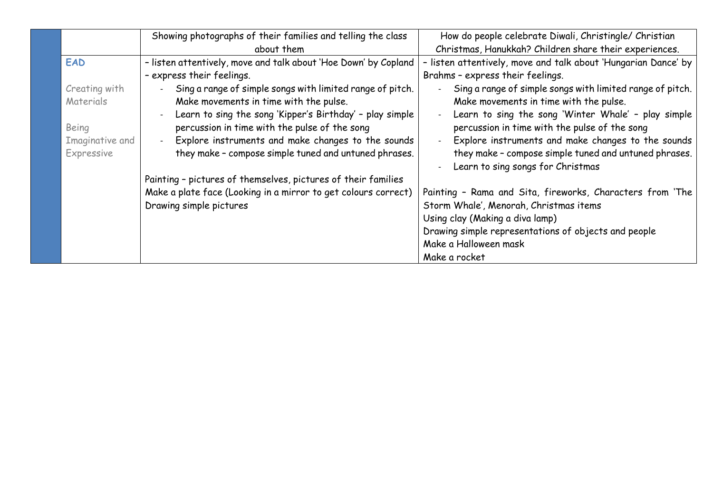|                 | Showing photographs of their families and telling the class     | How do people celebrate Diwali, Christingle/ Christian                                     |
|-----------------|-----------------------------------------------------------------|--------------------------------------------------------------------------------------------|
|                 | about them                                                      | Christmas, Hanukkah? Children share their experiences.                                     |
| <b>EAD</b>      | - listen attentively, move and talk about 'Hoe Down' by Copland | - listen attentively, move and talk about 'Hungarian Dance' by                             |
|                 | - express their feelings.                                       | Brahms - express their feelings.                                                           |
| Creating with   | Sing a range of simple songs with limited range of pitch.       | Sing a range of simple songs with limited range of pitch.                                  |
| Materials       | Make movements in time with the pulse.                          | Make movements in time with the pulse.                                                     |
|                 | Learn to sing the song 'Kipper's Birthday' - play simple        | Learn to sing the song 'Winter Whale' - play simple                                        |
| Being           | percussion in time with the pulse of the song                   | percussion in time with the pulse of the song                                              |
| Imaginative and | Explore instruments and make changes to the sounds              | Explore instruments and make changes to the sounds                                         |
| Expressive      | they make - compose simple tuned and untuned phrases.           | they make - compose simple tuned and untuned phrases.<br>Learn to sing songs for Christmas |
|                 | Painting - pictures of themselves, pictures of their families   |                                                                                            |
|                 | Make a plate face (Looking in a mirror to get colours correct)  | Painting - Rama and Sita, fireworks, Characters from 'The                                  |
|                 | Drawing simple pictures                                         | Storm Whale', Menorah, Christmas items                                                     |
|                 |                                                                 | Using clay (Making a diva lamp)                                                            |
|                 |                                                                 | Drawing simple representations of objects and people                                       |
|                 |                                                                 | Make a Halloween mask                                                                      |
|                 |                                                                 | Make a rocket                                                                              |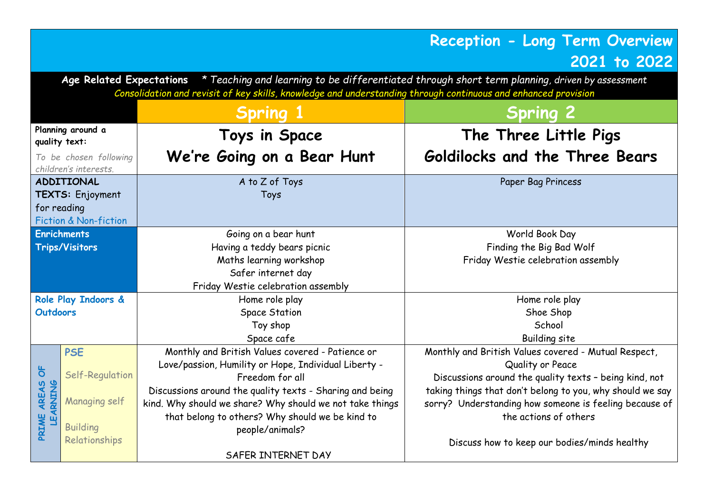## **Reception - Long Term Overview 2021 to 2022**

**Age Related Expectations** *\* Teaching and learning to be differentiated through short term planning, driven by assessment Consolidation and revisit of key skills, knowledge and understanding through continuous and enhanced provision*

|                                    |                                                 |                                                          | <b>Spring 2</b>                                           |  |
|------------------------------------|-------------------------------------------------|----------------------------------------------------------|-----------------------------------------------------------|--|
| Planning around a<br>quality text: |                                                 | Toys in Space                                            | The Three Little Pigs                                     |  |
|                                    | To be chosen following<br>children's interests. | We're Going on a Bear Hunt                               | Goldilocks and the Three Bears                            |  |
|                                    | <b>ADDITIONAL</b>                               | A to Z of Toys                                           | Paper Bag Princess                                        |  |
|                                    | TEXTS: Enjoyment                                | Toys                                                     |                                                           |  |
|                                    | for reading                                     |                                                          |                                                           |  |
|                                    | Fiction & Non-fiction                           |                                                          |                                                           |  |
|                                    | <b>Enrichments</b>                              | Going on a bear hunt                                     | World Book Day                                            |  |
|                                    | <b>Trips/Visitors</b>                           | Having a teddy bears picnic                              | Finding the Big Bad Wolf                                  |  |
|                                    |                                                 | Maths learning workshop                                  | Friday Westie celebration assembly                        |  |
|                                    |                                                 | Safer internet day                                       |                                                           |  |
|                                    |                                                 | Friday Westie celebration assembly                       |                                                           |  |
|                                    | Role Play Indoors &                             | Home role play                                           | Home role play                                            |  |
| <b>Outdoors</b>                    |                                                 | <b>Space Station</b>                                     | Shoe Shop                                                 |  |
|                                    |                                                 | Toy shop                                                 | School                                                    |  |
|                                    |                                                 | Space cafe                                               | Building site                                             |  |
|                                    | <b>PSE</b>                                      | Monthly and British Values covered - Patience or         | Monthly and British Values covered - Mutual Respect,      |  |
|                                    |                                                 | Love/passion, Humility or Hope, Individual Liberty -     | Quality or Peace                                          |  |
| $\sigma$                           | Self-Regulation                                 | Freedom for all                                          | Discussions around the quality texts - being kind, not    |  |
| AREAS                              |                                                 | Discussions around the quality texts - Sharing and being | taking things that don't belong to you, why should we say |  |
|                                    | <b>Managing self</b>                            | kind. Why should we share? Why should we not take things | sorry? Understanding how someone is feeling because of    |  |
| <b>EARNING</b>                     |                                                 | that belong to others? Why should we be kind to          | the actions of others                                     |  |
| PRIME                              | <b>Building</b>                                 | people/animals?                                          |                                                           |  |
|                                    | Relationships                                   |                                                          | Discuss how to keep our bodies/minds healthy              |  |
|                                    |                                                 | SAFER INTERNET DAY                                       |                                                           |  |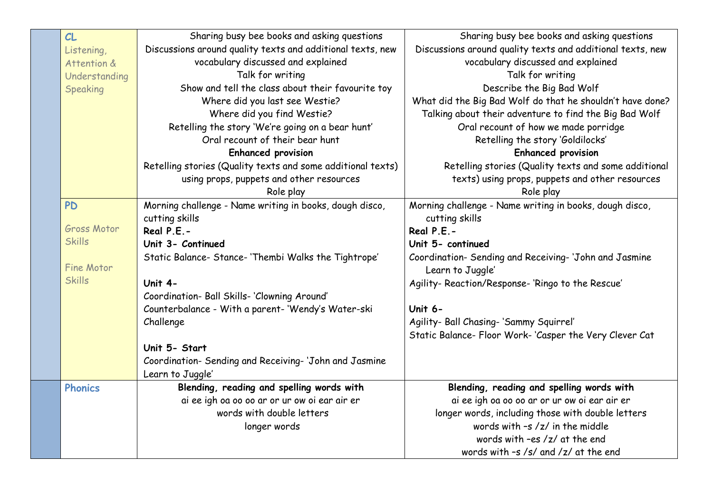| CL                 | Sharing busy bee books and asking questions                 | Sharing busy bee books and asking questions                |
|--------------------|-------------------------------------------------------------|------------------------------------------------------------|
| Listening,         | Discussions around quality texts and additional texts, new  | Discussions around quality texts and additional texts, new |
| Attention &        | vocabulary discussed and explained                          | vocabulary discussed and explained                         |
| Understanding      | Talk for writing                                            | Talk for writing                                           |
| Speaking           | Show and tell the class about their favourite toy           | Describe the Big Bad Wolf                                  |
|                    | Where did you last see Westie?                              | What did the Big Bad Wolf do that he shouldn't have done?  |
|                    | Where did you find Westie?                                  | Talking about their adventure to find the Big Bad Wolf     |
|                    | Retelling the story 'We're going on a bear hunt'            | Oral recount of how we made porridge                       |
|                    | Oral recount of their bear hunt                             | Retelling the story 'Goldilocks'                           |
|                    | <b>Enhanced provision</b>                                   | <b>Enhanced provision</b>                                  |
|                    | Retelling stories (Quality texts and some additional texts) | Retelling stories (Quality texts and some additional       |
|                    | using props, puppets and other resources                    | texts) using props, puppets and other resources            |
|                    | Role play                                                   | Role play                                                  |
| <b>PD</b>          | Morning challenge - Name writing in books, dough disco,     | Morning challenge - Name writing in books, dough disco,    |
|                    | cutting skills                                              | cutting skills                                             |
| <b>Gross Motor</b> | Real P.E.-                                                  | Real P.E.-                                                 |
| <b>Skills</b>      | Unit 3- Continued                                           | Unit 5- continued                                          |
|                    | Static Balance- Stance- 'Thembi Walks the Tightrope'        | Coordination- Sending and Receiving-'John and Jasmine      |
| Fine Motor         |                                                             | Learn to Juggle'                                           |
| <b>Skills</b>      | Unit 4-                                                     | Agility- Reaction/Response-'Ringo to the Rescue'           |
|                    | Coordination- Ball Skills- 'Clowning Around'                |                                                            |
|                    | Counterbalance - With a parent- 'Wendy's Water-ski          | Unit 6-                                                    |
|                    | Challenge                                                   | Agility- Ball Chasing- 'Sammy Squirrel'                    |
|                    |                                                             | Static Balance- Floor Work-'Casper the Very Clever Cat     |
|                    | Unit 5- Start                                               |                                                            |
|                    | Coordination- Sending and Receiving-'John and Jasmine       |                                                            |
|                    | Learn to Juggle'                                            |                                                            |
| <b>Phonics</b>     | Blending, reading and spelling words with                   | Blending, reading and spelling words with                  |
|                    | ai ee igh oa oo oo ar or ur ow oi ear air er                | ai ee igh oa oo oo ar or ur ow oi ear air er               |
|                    | words with double letters                                   | longer words, including those with double letters          |
|                    | longer words                                                | words with $-s$ /z/ in the middle                          |
|                    |                                                             | words with -es /z/ at the end                              |
|                    |                                                             | words with $-s$ /s/ and /z/ at the end                     |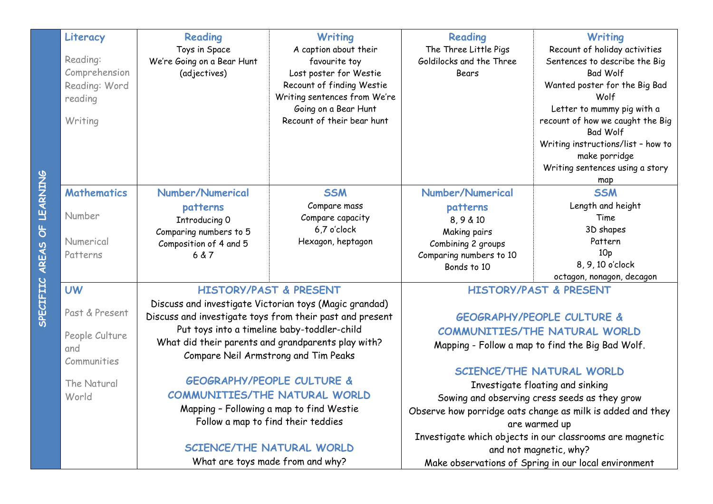|              | Literacy           | <b>Reading</b>                                     | <b>Writing</b>                                           | <b>Reading</b>           | <b>Writing</b>                                             |
|--------------|--------------------|----------------------------------------------------|----------------------------------------------------------|--------------------------|------------------------------------------------------------|
|              |                    | Toys in Space                                      | A caption about their                                    | The Three Little Pigs    | Recount of holiday activities                              |
|              | Reading:           | We're Going on a Bear Hunt                         | favourite toy                                            | Goldilocks and the Three | Sentences to describe the Big                              |
|              | Comprehension      | (adjectives)                                       | Lost poster for Westie                                   | <b>Bears</b>             | <b>Bad Wolf</b>                                            |
|              | Reading: Word      |                                                    | Recount of finding Westie                                |                          | Wanted poster for the Big Bad                              |
|              | reading            |                                                    | Writing sentences from We're                             |                          | Wolf                                                       |
|              |                    |                                                    | Going on a Bear Hunt                                     |                          | Letter to mummy pig with a                                 |
|              | Writing            |                                                    | Recount of their bear hunt                               |                          | recount of how we caught the Big<br><b>Bad Wolf</b>        |
|              |                    |                                                    |                                                          |                          | Writing instructions/list - how to                         |
|              |                    |                                                    |                                                          |                          | make porridge                                              |
|              |                    |                                                    |                                                          |                          | Writing sentences using a story<br>map                     |
|              | <b>Mathematics</b> | Number/Numerical                                   | <b>SSM</b>                                               | Number/Numerical         | <b>SSM</b>                                                 |
|              |                    | patterns                                           | Compare mass                                             | patterns                 | Length and height                                          |
| <b>LEA</b>   | Number             | Introducing O                                      | Compare capacity                                         | 8,9 & 10                 | Time                                                       |
| ს<br> <br>   |                    | Comparing numbers to 5                             | 6,7 o'clock                                              | Making pairs             | 3D shapes                                                  |
|              | Numerical          | Composition of 4 and 5                             | Hexagon, heptagon                                        | Combining 2 groups       | Pattern                                                    |
| <b>AREAS</b> | Patterns           | 6 & 7                                              |                                                          | Comparing numbers to 10  | 10 <sub>p</sub>                                            |
|              |                    |                                                    |                                                          | Bonds to 10              | 8, 9, 10 o'clock                                           |
|              |                    |                                                    |                                                          |                          | octagon, nonagon, decagon                                  |
|              | <b>UW</b>          |                                                    | <b>HISTORY/PAST &amp; PRESENT</b>                        |                          | <b>HISTORY/PAST &amp; PRESENT</b>                          |
| <b>SPECT</b> | Past & Present     |                                                    | Discuss and investigate Victorian toys (Magic grandad)   |                          |                                                            |
|              |                    |                                                    | Discuss and investigate toys from their past and present |                          | <b>GEOGRAPHY/PEOPLE CULTURE &amp;</b>                      |
|              | People Culture     | Put toys into a timeline baby-toddler-child        |                                                          |                          | COMMUNITIES/THE NATURAL WORLD                              |
|              | and                | What did their parents and grandparents play with? |                                                          |                          | Mapping - Follow a map to find the Big Bad Wolf.           |
|              | Communities        |                                                    | Compare Neil Armstrong and Tim Peaks                     |                          |                                                            |
|              |                    |                                                    |                                                          |                          | SCIENCE/THE NATURAL WORLD                                  |
|              | The Natural        |                                                    | <b>GEOGRAPHY/PEOPLE CULTURE &amp;</b>                    |                          | Investigate floating and sinking                           |
|              | World              |                                                    | COMMUNITIES/THE NATURAL WORLD                            |                          | Sowing and observing cress seeds as they grow              |
|              |                    |                                                    | Mapping - Following a map to find Westie                 |                          | Observe how porridge oats change as milk is added and they |
|              |                    |                                                    | Follow a map to find their teddies                       |                          | are warmed up                                              |
|              |                    |                                                    |                                                          |                          | Investigate which objects in our classrooms are magnetic   |
|              |                    |                                                    | SCIENCE/THE NATURAL WORLD                                |                          | and not magnetic, why?                                     |
|              |                    |                                                    | What are toys made from and why?                         |                          | Make observations of Spring in our local environment       |

SPECIFIIC AREAS OF LEARNING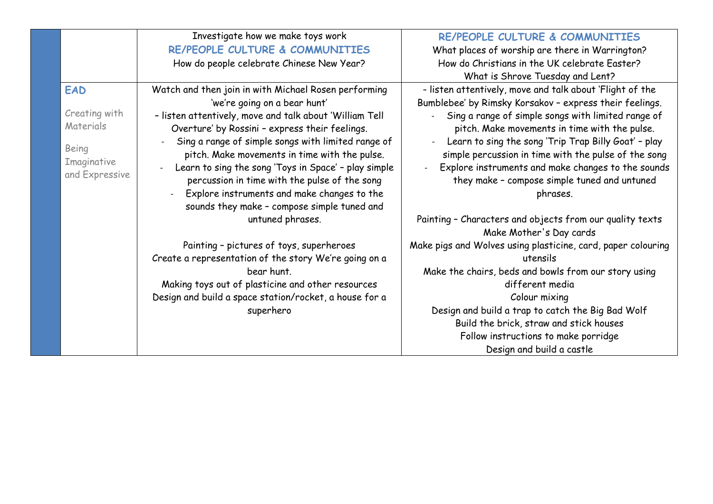|                               | Investigate how we make toys work                       | RE/PEOPLE CULTURE & COMMUNITIES                              |
|-------------------------------|---------------------------------------------------------|--------------------------------------------------------------|
|                               | RE/PEOPLE CULTURE & COMMUNITIES                         | What places of worship are there in Warrington?              |
|                               | How do people celebrate Chinese New Year?               | How do Christians in the UK celebrate Easter?                |
|                               |                                                         | What is Shrove Tuesday and Lent?                             |
| <b>EAD</b>                    | Watch and then join in with Michael Rosen performing    | - listen attentively, move and talk about 'Flight of the     |
|                               | 'we're going on a bear hunt'                            | Bumblebee' by Rimsky Korsakov - express their feelings.      |
| Creating with                 | - listen attentively, move and talk about 'William Tell | Sing a range of simple songs with limited range of           |
| Materials                     | Overture' by Rossini - express their feelings.          | pitch. Make movements in time with the pulse.                |
|                               | Sing a range of simple songs with limited range of      | Learn to sing the song 'Trip Trap Billy Goat' - play         |
| Being                         | pitch. Make movements in time with the pulse.           | simple percussion in time with the pulse of the song         |
| Imaginative<br>and Expressive | Learn to sing the song 'Toys in Space' - play simple    | Explore instruments and make changes to the sounds           |
|                               | percussion in time with the pulse of the song           | they make - compose simple tuned and untuned                 |
|                               | Explore instruments and make changes to the             | phrases.                                                     |
|                               | sounds they make - compose simple tuned and             |                                                              |
|                               | untuned phrases.                                        | Painting - Characters and objects from our quality texts     |
|                               |                                                         | Make Mother's Day cards                                      |
|                               | Painting - pictures of toys, superheroes                | Make pigs and Wolves using plasticine, card, paper colouring |
|                               | Create a representation of the story We're going on a   | utensils                                                     |
|                               | bear hunt.                                              | Make the chairs, beds and bowls from our story using         |
|                               | Making toys out of plasticine and other resources       | different media                                              |
|                               | Design and build a space station/rocket, a house for a  | Colour mixing                                                |
|                               | superhero                                               | Design and build a trap to catch the Big Bad Wolf            |
|                               |                                                         | Build the brick, straw and stick houses                      |
|                               |                                                         | Follow instructions to make porridge                         |
|                               |                                                         | Design and build a castle                                    |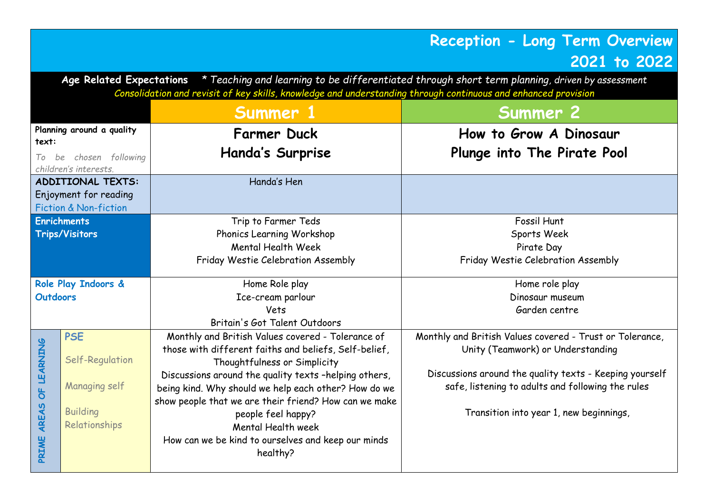## **Reception - Long Term Overview 2021 to 2022**

**Age Related Expectations** *\* Teaching and learning to be differentiated through short term planning, driven by assessment Consolidation and revisit of key skills, knowledge and understanding through continuous and enhanced provision*

| Summer 1        |                           |                                                       | Summer 2                                                 |
|-----------------|---------------------------|-------------------------------------------------------|----------------------------------------------------------|
| text:           | Planning around a quality | <b>Farmer Duck</b>                                    | How to Grow A Dinosaur                                   |
|                 | To be chosen following    | Handa's Surprise                                      | Plunge into The Pirate Pool                              |
|                 | children's interests.     |                                                       |                                                          |
|                 | <b>ADDITIONAL TEXTS:</b>  | Handa's Hen                                           |                                                          |
|                 | Enjoyment for reading     |                                                       |                                                          |
|                 | Fiction & Non-fiction     |                                                       |                                                          |
|                 | <b>Enrichments</b>        | Trip to Farmer Teds                                   | Fossil Hunt                                              |
|                 | <b>Trips/Visitors</b>     | Phonics Learning Workshop                             | Sports Week                                              |
|                 |                           | Mental Health Week                                    | Pirate Day                                               |
|                 |                           | Friday Westie Celebration Assembly                    | Friday Westie Celebration Assembly                       |
|                 | Role Play Indoors &       | Home Role play                                        | Home role play                                           |
| <b>Outdoors</b> |                           | Ice-cream parlour                                     | Dinosaur museum                                          |
|                 |                           | Vets                                                  | Garden centre                                            |
|                 |                           | Britain's Got Talent Outdoors                         |                                                          |
|                 | <b>PSE</b>                | Monthly and British Values covered - Tolerance of     | Monthly and British Values covered - Trust or Tolerance, |
| OF LEARNING     |                           | those with different faiths and beliefs, Self-belief, | Unity (Teamwork) or Understanding                        |
|                 | Self-Regulation           | Thoughtfulness or Simplicity                          |                                                          |
|                 |                           | Discussions around the quality texts -helping others, | Discussions around the quality texts - Keeping yourself  |
|                 | Managing self             | being kind. Why should we help each other? How do we  | safe, listening to adults and following the rules        |
|                 |                           | show people that we are their friend? How can we make |                                                          |
| AREAS           | <b>Building</b>           | people feel happy?                                    | Transition into year 1, new beginnings,                  |
|                 | Relationships             | Mental Health week                                    |                                                          |
| PRIME           |                           | How can we be kind to ourselves and keep our minds    |                                                          |
|                 |                           | healthy?                                              |                                                          |
|                 |                           |                                                       |                                                          |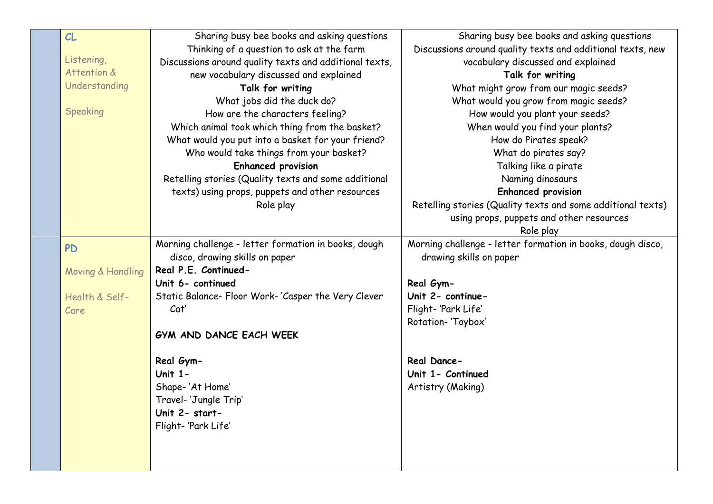| CL                | Sharing busy bee books and asking questions            | Sharing busy bee books and asking questions                 |
|-------------------|--------------------------------------------------------|-------------------------------------------------------------|
|                   | Thinking of a question to ask at the farm              | Discussions around quality texts and additional texts, new  |
| Listening,        | Discussions around quality texts and additional texts, | vocabulary discussed and explained                          |
| Attention &       | new vocabulary discussed and explained                 | Talk for writing                                            |
| Understanding     | Talk for writing                                       | What might grow from our magic seeds?                       |
|                   | What jobs did the duck do?                             | What would you grow from magic seeds?                       |
| Speaking          | How are the characters feeling?                        | How would you plant your seeds?                             |
|                   | Which animal took which thing from the basket?         | When would you find your plants?                            |
|                   | What would you put into a basket for your friend?      | How do Pirates speak?                                       |
|                   | Who would take things from your basket?                | What do pirates say?                                        |
|                   | <b>Enhanced provision</b>                              | Talking like a pirate                                       |
|                   | Retelling stories (Quality texts and some additional   | Naming dinosaurs                                            |
|                   | texts) using props, puppets and other resources        | <b>Enhanced provision</b>                                   |
|                   | Role play                                              | Retelling stories (Quality texts and some additional texts) |
|                   |                                                        | using props, puppets and other resources                    |
|                   |                                                        | Role play                                                   |
| <b>PD</b>         | Morning challenge - letter formation in books, dough   | Morning challenge - letter formation in books, dough disco, |
|                   | disco, drawing skills on paper                         | drawing skills on paper                                     |
| Moving & Handling | Real P.E. Continued-                                   |                                                             |
|                   | Unit 6- continued                                      | Real Gym-                                                   |
| Health & Self-    | Static Balance- Floor Work-'Casper the Very Clever     | Unit 2- continue-                                           |
| Care              | Cat'                                                   | Flight-'Park Life'                                          |
|                   |                                                        | Rotation- 'Toybox'                                          |
|                   | GYM AND DANCE EACH WEEK                                |                                                             |
|                   | Real Gym-                                              | Real Dance-                                                 |
|                   | Unit $1 -$                                             | Unit 1- Continued                                           |
|                   | Shape-'At Home'                                        | Artistry (Making)                                           |
|                   | Travel- 'Jungle Trip'                                  |                                                             |
|                   | Unit 2- start-                                         |                                                             |
|                   | Flight-'Park Life'                                     |                                                             |
|                   |                                                        |                                                             |
|                   |                                                        |                                                             |
|                   |                                                        |                                                             |
|                   |                                                        |                                                             |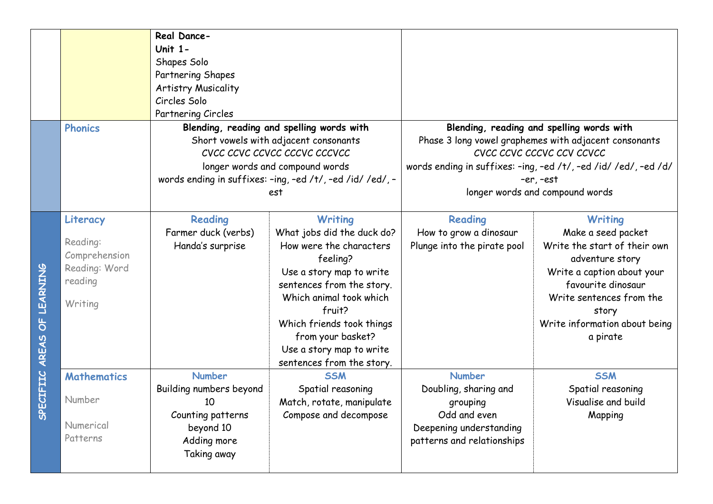|                             |                                                                              | Real Dance-<br><b>Unit 1-</b><br>Shapes Solo<br>Partnering Shapes<br><b>Artistry Musicality</b><br>Circles Solo<br>Partnering Circles |                                                                                                                                                                                                                                                                                              |                                                                                                                             |                                                                                                                                                                                                                                                      |
|-----------------------------|------------------------------------------------------------------------------|---------------------------------------------------------------------------------------------------------------------------------------|----------------------------------------------------------------------------------------------------------------------------------------------------------------------------------------------------------------------------------------------------------------------------------------------|-----------------------------------------------------------------------------------------------------------------------------|------------------------------------------------------------------------------------------------------------------------------------------------------------------------------------------------------------------------------------------------------|
|                             | <b>Phonics</b>                                                               |                                                                                                                                       | Blending, reading and spelling words with<br>Short vowels with adjacent consonants<br>CVCC CCVC CCVCC CCCVC CCCVCC<br>longer words and compound words<br>words ending in suffixes: -ing, -ed /t/, -ed /id/ /ed/, -<br>est                                                                    |                                                                                                                             | Blending, reading and spelling words with<br>Phase 3 long vowel graphemes with adjacent consonants<br>CVCC CCVC CCCVC CCV CCVCC<br>words ending in suffixes: -ing, -ed /t/, -ed /id/ /ed/, -ed /d/<br>$-er, -est$<br>longer words and compound words |
| SPECIFIIC AREAS OF LEARNING | Literacy<br>Reading:<br>Comprehension<br>Reading: Word<br>reading<br>Writing | Reading<br>Farmer duck (verbs)<br>Handa's surprise                                                                                    | <b>Writing</b><br>What jobs did the duck do?<br>How were the characters<br>feeling?<br>Use a story map to write<br>sentences from the story.<br>Which animal took which<br>fruit?<br>Which friends took things<br>from your basket?<br>Use a story map to write<br>sentences from the story. | Reading<br>How to grow a dinosaur<br>Plunge into the pirate pool                                                            | <b>Writing</b><br>Make a seed packet<br>Write the start of their own<br>adventure story<br>Write a caption about your<br>favourite dinosaur<br>Write sentences from the<br>story<br>Write information about being<br>a pirate                        |
|                             | <b>Mathematics</b><br>Number<br>Numerical<br>Patterns                        | <b>Number</b><br>Building numbers beyond<br>10<br>Counting patterns<br>beyond 10<br>Adding more<br>Taking away                        | <b>SSM</b><br>Spatial reasoning<br>Match, rotate, manipulate<br>Compose and decompose                                                                                                                                                                                                        | <b>Number</b><br>Doubling, sharing and<br>grouping<br>Odd and even<br>Deepening understanding<br>patterns and relationships | <b>SSM</b><br>Spatial reasoning<br>Visualise and build<br>Mapping                                                                                                                                                                                    |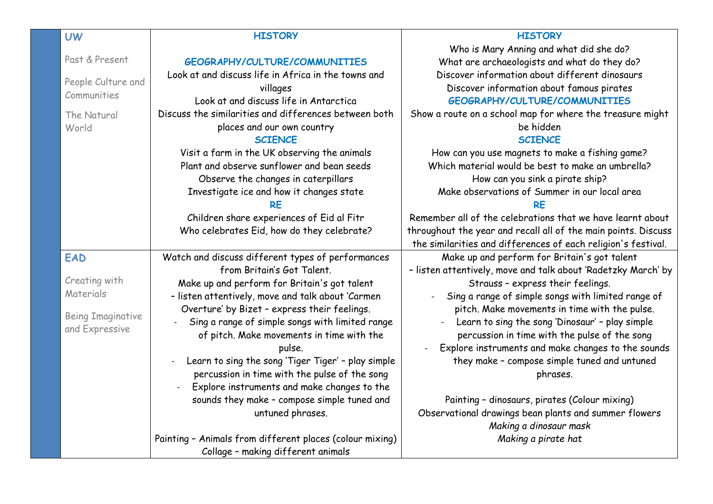| <b>UW</b>                | <b>HISTORY</b>                                           | <b>HISTORY</b>                                                 |
|--------------------------|----------------------------------------------------------|----------------------------------------------------------------|
|                          |                                                          | Who is Mary Anning and what did she do?                        |
| Past & Present           | GEOGRAPHY/CULTURE/COMMUNITIES                            | What are archaeologists and what do they do?                   |
|                          | Look at and discuss life in Africa in the towns and      | Discover information about different dinosaurs                 |
| People Culture and       | villages                                                 | Discover information about famous pirates                      |
| Communities              | Look at and discuss life in Antarctica                   | <b>GEOGRAPHY/CULTURE/COMMUNITIES</b>                           |
| The Natural              | Discuss the similarities and differences between both    | Show a route on a school map for where the treasure might      |
| World                    | places and our own country                               | be hidden                                                      |
|                          | <b>SCIENCE</b>                                           | <b>SCIENCE</b>                                                 |
|                          | Visit a farm in the UK observing the animals             | How can you use magnets to make a fishing game?                |
|                          | Plant and observe sunflower and bean seeds               | Which material would be best to make an umbrella?              |
|                          | Observe the changes in caterpillars                      | How can you sink a pirate ship?                                |
|                          | Investigate ice and how it changes state                 | Make observations of Summer in our local area                  |
|                          |                                                          | <b>RF</b>                                                      |
|                          | Children share experiences of Eid al Fitr                | Remember all of the celebrations that we have learnt about     |
|                          | Who celebrates Eid, how do they celebrate?               | throughout the year and recall all of the main points. Discuss |
|                          |                                                          | the similarities and differences of each religion's festival.  |
| <b>EAD</b>               | Watch and discuss different types of performances        | Make up and perform for Britain's got talent                   |
|                          | from Britain's Got Talent.                               | - listen attentively, move and talk about 'Radetzky March' by  |
| Creating with            | Make up and perform for Britain's got talent             | Strauss - express their feelings.                              |
| Materials                | - listen attentively, move and talk about 'Carmen        | Sing a range of simple songs with limited range of             |
| <b>Being Imaginative</b> | Overture' by Bizet - express their feelings.             | pitch. Make movements in time with the pulse.                  |
| and Expressive           | Sing a range of simple songs with limited range          | Learn to sing the song 'Dinosaur' - play simple                |
|                          | of pitch. Make movements in time with the                | percussion in time with the pulse of the song                  |
|                          | pulse.                                                   | Explore instruments and make changes to the sounds             |
|                          | Learn to sing the song 'Tiger Tiger' - play simple       | they make - compose simple tuned and untuned                   |
|                          | percussion in time with the pulse of the song            | phrases.                                                       |
|                          | Explore instruments and make changes to the              |                                                                |
|                          | sounds they make - compose simple tuned and              | Painting - dinosaurs, pirates (Colour mixing)                  |
|                          | untuned phrases.                                         | Observational drawings bean plants and summer flowers          |
|                          |                                                          | Making a dinosaur mask                                         |
|                          | Painting - Animals from different places (colour mixing) | Making a pirate hat                                            |
|                          | Collage - making different animals                       |                                                                |